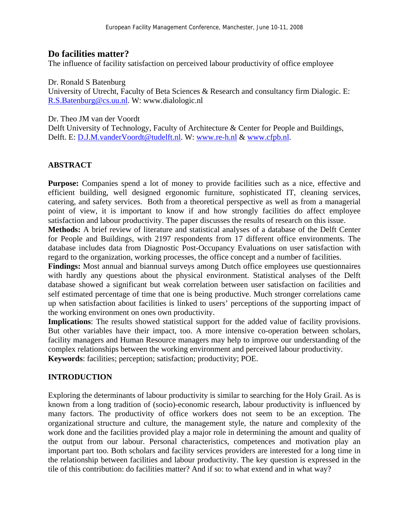## **Do facilities matter?**

The influence of facility satisfaction on perceived labour productivity of office employee

Dr. Ronald S Batenburg

University of Utrecht, Faculty of Beta Sciences & Research and consultancy firm Dialogic. E: R.S.Batenburg@cs.uu.nl. W: www.dialologic.nl

Dr. Theo JM van der Voordt

Delft University of Technology, Faculty of Architecture & Center for People and Buildings, Delft. E: D.J.M.vanderVoordt@tudelft.nl. W: www.re-h.nl & www.cfpb.nl.

### **ABSTRACT**

**Purpose:** Companies spend a lot of money to provide facilities such as a nice, effective and efficient building, well designed ergonomic furniture, sophisticated IT, cleaning services, catering, and safety services. Both from a theoretical perspective as well as from a managerial point of view, it is important to know if and how strongly facilities do affect employee satisfaction and labour productivity. The paper discusses the results of research on this issue.

**Methods:** A brief review of literature and statistical analyses of a database of the Delft Center for People and Buildings, with 2197 respondents from 17 different office environments. The database includes data from Diagnostic Post-Occupancy Evaluations on user satisfaction with regard to the organization, working processes, the office concept and a number of facilities.

**Findings:** Most annual and biannual surveys among Dutch office employees use questionnaires with hardly any questions about the physical environment. Statistical analyses of the Delft database showed a significant but weak correlation between user satisfaction on facilities and self estimated percentage of time that one is being productive. Much stronger correlations came up when satisfaction about facilities is linked to users' perceptions of the supporting impact of the working environment on ones own productivity.

**Implications**: The results showed statistical support for the added value of facility provisions. But other variables have their impact, too. A more intensive co-operation between scholars, facility managers and Human Resource managers may help to improve our understanding of the complex relationships between the working environment and perceived labour productivity. **Keywords**: facilities; perception; satisfaction; productivity; POE.

### **INTRODUCTION**

Exploring the determinants of labour productivity is similar to searching for the Holy Grail. As is known from a long tradition of (socio)-economic research, labour productivity is influenced by many factors. The productivity of office workers does not seem to be an exception. The organizational structure and culture, the management style, the nature and complexity of the work done and the facilities provided play a major role in determining the amount and quality of the output from our labour. Personal characteristics, competences and motivation play an important part too. Both scholars and facility services providers are interested for a long time in the relationship between facilities and labour productivity. The key question is expressed in the tile of this contribution: do facilities matter? And if so: to what extend and in what way?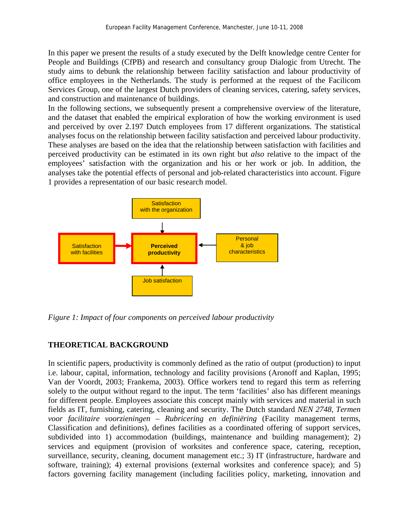In this paper we present the results of a study executed by the Delft knowledge centre Center for People and Buildings (CfPB) and research and consultancy group Dialogic from Utrecht. The study aims to debunk the relationship between facility satisfaction and labour productivity of office employees in the Netherlands. The study is performed at the request of the Facilicom Services Group, one of the largest Dutch providers of cleaning services, catering, safety services, and construction and maintenance of buildings.

In the following sections, we subsequently present a comprehensive overview of the literature, and the dataset that enabled the empirical exploration of how the working environment is used and perceived by over 2.197 Dutch employees from 17 different organizations. The statistical analyses focus on the relationship between facility satisfaction and perceived labour productivity. These analyses are based on the idea that the relationship between satisfaction with facilities and perceived productivity can be estimated in its own right but *also* relative to the impact of the employees' satisfaction with the organization and his or her work or job. In addition, the analyses take the potential effects of personal and job-related characteristics into account. Figure 1 provides a representation of our basic research model.



*Figure 1: Impact of four components on perceived labour productivity* 

# **THEORETICAL BACKGROUND**

In scientific papers, productivity is commonly defined as the ratio of output (production) to input i.e. labour, capital, information, technology and facility provisions (Aronoff and Kaplan, 1995; Van der Voordt, 2003; Frankema, 2003). Office workers tend to regard this term as referring solely to the output without regard to the input. The term 'facilities' also has different meanings for different people. Employees associate this concept mainly with services and material in such fields as IT, furnishing, catering, cleaning and security. The Dutch standard *NEN 2748, Termen voor facilitaire voorzieningen – Rubricering en definiëring* (Facility management terms, Classification and definitions)*,* defines facilities as a coordinated offering of support services, subdivided into 1) accommodation (buildings, maintenance and building management); 2) services and equipment (provision of worksites and conference space, catering, reception, surveillance, security, cleaning, document management etc.; 3) IT (infrastructure, hardware and software, training); 4) external provisions (external worksites and conference space); and 5) factors governing facility management (including facilities policy, marketing, innovation and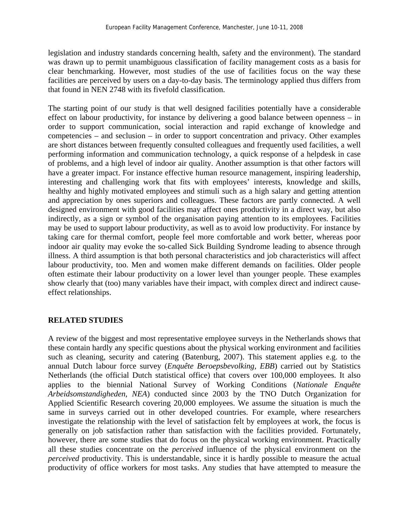legislation and industry standards concerning health, safety and the environment). The standard was drawn up to permit unambiguous classification of facility management costs as a basis for clear benchmarking. However, most studies of the use of facilities focus on the way these facilities are perceived by users on a day-to-day basis. The terminology applied thus differs from that found in NEN 2748 with its fivefold classification.

The starting point of our study is that well designed facilities potentially have a considerable effect on labour productivity, for instance by delivering a good balance between openness – in order to support communication, social interaction and rapid exchange of knowledge and competencies – and seclusion – in order to support concentration and privacy. Other examples are short distances between frequently consulted colleagues and frequently used facilities, a well performing information and communication technology, a quick response of a helpdesk in case of problems, and a high level of indoor air quality. Another assumption is that other factors will have a greater impact. For instance effective human resource management, inspiring leadership, interesting and challenging work that fits with employees' interests, knowledge and skills, healthy and highly motivated employees and stimuli such as a high salary and getting attention and appreciation by ones superiors and colleagues. These factors are partly connected. A well designed environment with good facilities may affect ones productivity in a direct way, but also indirectly, as a sign or symbol of the organisation paying attention to its employees. Facilities may be used to support labour productivity, as well as to avoid low productivity. For instance by taking care for thermal comfort, people feel more comfortable and work better, whereas poor indoor air quality may evoke the so-called Sick Building Syndrome leading to absence through illness. A third assumption is that both personal characteristics and job characteristics will affect labour productivity, too. Men and women make different demands on facilities. Older people often estimate their labour productivity on a lower level than younger people. These examples show clearly that (too) many variables have their impact, with complex direct and indirect causeeffect relationships.

### **RELATED STUDIES**

A review of the biggest and most representative employee surveys in the Netherlands shows that these contain hardly any specific questions about the physical working environment and facilities such as cleaning, security and catering (Batenburg, 2007). This statement applies e.g. to the annual Dutch labour force survey (*Enquête Beroepsbevolking, EBB*) carried out by Statistics Netherlands (the official Dutch statistical office) that covers over 100,000 employees. It also applies to the biennial National Survey of Working Conditions (*Nationale Enquête Arbeidsomstandigheden, NEA*) conducted since 2003 by the TNO Dutch Organization for Applied Scientific Research covering 20,000 employees. We assume the situation is much the same in surveys carried out in other developed countries. For example, where researchers investigate the relationship with the level of satisfaction felt by employees at work, the focus is generally on job satisfaction rather than satisfaction with the facilities provided. Fortunately, however, there are some studies that do focus on the physical working environment. Practically all these studies concentrate on the *perceived* influence of the physical environment on the *perceived* productivity. This is understandable, since it is hardly possible to measure the actual productivity of office workers for most tasks. Any studies that have attempted to measure the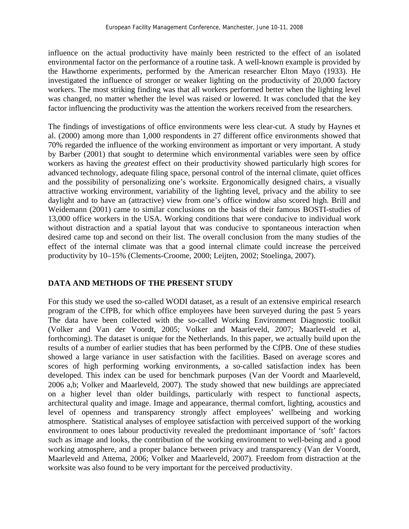influence on the actual productivity have mainly been restricted to the effect of an isolated environmental factor on the performance of a routine task. A well-known example is provided by the Hawthorne experiments, performed by the American researcher Elton Mayo (1933). He investigated the influence of stronger or weaker lighting on the productivity of 20,000 factory workers. The most striking finding was that all workers performed better when the lighting level was changed, no matter whether the level was raised or lowered. It was concluded that the key factor influencing the productivity was the attention the workers received from the researchers.

The findings of investigations of office environments were less clear-cut. A study by Haynes et al. (2000) among more than 1,000 respondents in 27 different office environments showed that 70% regarded the influence of the working environment as important or very important. A study by Barber (2001) that sought to determine which environmental variables were seen by office workers as having the *greatest* effect on their productivity showed particularly high scores for advanced technology, adequate filing space, personal control of the internal climate, quiet offices and the possibility of personalizing one's worksite. Ergonomically designed chairs, a visually attractive working environment, variability of the lighting level, privacy and the ability to see daylight and to have an (attractive) view from one's office window also scored high. Brill and Weidemann (2001) came to similar conclusions on the basis of their famous BOSTI-studies of 13,000 office workers in the USA. Working conditions that were conducive to individual work without distraction and a spatial layout that was conducive to spontaneous interaction when desired came top and second on their list. The overall conclusion from the many studies of the effect of the internal climate was that a good internal climate could increase the perceived productivity by 10–15% (Clements-Croome, 2000; Leijten, 2002; Stoelinga, 2007).

### **DATA AND METHODS OF THE PRESENT STUDY**

For this study we used the so-called WODI dataset, as a result of an extensive empirical research program of the CfPB, for which office employees have been surveyed during the past 5 years The data have been collected with the so-called Working Environment Diagnostic toolkit (Volker and Van der Voordt, 2005; Volker and Maarleveld, 2007; Maarleveld et al, forthcoming). The dataset is unique for the Netherlands. In this paper, we actually build upon the results of a number of earlier studies that has been performed by the CfPB. One of these studies showed a large variance in user satisfaction with the facilities. Based on average scores and scores of high performing working environments, a so-called satisfaction index has been developed. This index can be used for benchmark purposes (Van der Voordt and Maarleveld, 2006 a,b; Volker and Maarleveld, 2007). The study showed that new buildings are appreciated on a higher level than older buildings, particularly with respect to functional aspects, architectural quality and image. Image and appearance, thermal comfort, lighting, acoustics and level of openness and transparency strongly affect employees' wellbeing and working atmosphere. Statistical analyses of employee satisfaction with perceived support of the working environment to ones labour productivity revealed the predominant importance of 'soft' factors such as image and looks, the contribution of the working environment to well-being and a good working atmosphere, and a proper balance between privacy and transparency (Van der Voordt, Maarleveld and Attema, 2006; Volker and Maarleveld, 2007). Freedom from distraction at the worksite was also found to be very important for the perceived productivity.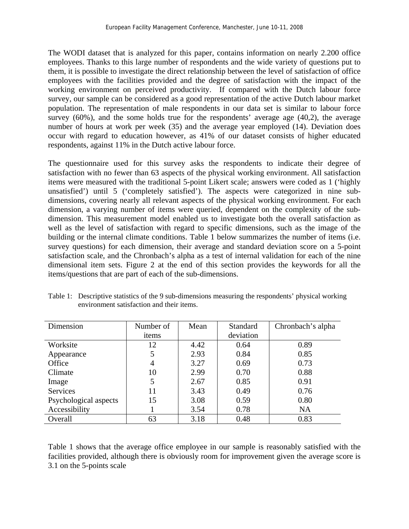The WODI dataset that is analyzed for this paper, contains information on nearly 2.200 office employees. Thanks to this large number of respondents and the wide variety of questions put to them, it is possible to investigate the direct relationship between the level of satisfaction of office employees with the facilities provided and the degree of satisfaction with the impact of the working environment on perceived productivity. If compared with the Dutch labour force survey, our sample can be considered as a good representation of the active Dutch labour market population. The representation of male respondents in our data set is similar to labour force survey (60%), and the some holds true for the respondents' average age (40,2), the average number of hours at work per week (35) and the average year employed (14). Deviation does occur with regard to education however, as 41% of our dataset consists of higher educated respondents, against 11% in the Dutch active labour force.

The questionnaire used for this survey asks the respondents to indicate their degree of satisfaction with no fewer than 63 aspects of the physical working environment. All satisfaction items were measured with the traditional 5-point Likert scale; answers were coded as 1 ('highly unsatisfied') until 5 ('completely satisfied'). The aspects were categorized in nine subdimensions, covering nearly all relevant aspects of the physical working environment. For each dimension, a varying number of items were queried, dependent on the complexity of the subdimension. This measurement model enabled us to investigate both the overall satisfaction as well as the level of satisfaction with regard to specific dimensions, such as the image of the building or the internal climate conditions. Table 1 below summarizes the number of items (i.e. survey questions) for each dimension, their average and standard deviation score on a 5-point satisfaction scale, and the Chronbach's alpha as a test of internal validation for each of the nine dimensional item sets. Figure 2 at the end of this section provides the keywords for all the items/questions that are part of each of the sub-dimensions.

| Dimension             | Number of      | Mean | <b>Standard</b> | Chronbach's alpha |
|-----------------------|----------------|------|-----------------|-------------------|
|                       | items          |      | deviation       |                   |
| Worksite              | 12             | 4.42 | 0.64            | 0.89              |
| Appearance            |                | 2.93 | 0.84            | 0.85              |
| Office                | $\overline{4}$ | 3.27 | 0.69            | 0.73              |
| Climate               | 10             | 2.99 | 0.70            | 0.88              |
| Image                 | 5              | 2.67 | 0.85            | 0.91              |
| <b>Services</b>       | 11             | 3.43 | 0.49            | 0.76              |
| Psychological aspects | 15             | 3.08 | 0.59            | 0.80              |
| Accessibility         |                | 3.54 | 0.78            | <b>NA</b>         |
| Overall               | 63             | 3.18 | 0.48            | 0.83              |

Table 1: Descriptive statistics of the 9 sub-dimensions measuring the respondents' physical working environment satisfaction and their items.

Table 1 shows that the average office employee in our sample is reasonably satisfied with the facilities provided, although there is obviously room for improvement given the average score is 3.1 on the 5-points scale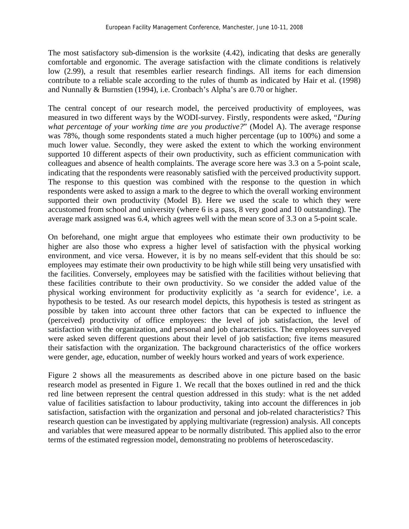The most satisfactory sub-dimension is the worksite (4.42), indicating that desks are generally comfortable and ergonomic. The average satisfaction with the climate conditions is relatively low (2.99), a result that resembles earlier research findings. All items for each dimension contribute to a reliable scale according to the rules of thumb as indicated by Hair et al. (1998) and Nunnally & Burnstien (1994), i.e. Cronbach's Alpha's are 0.70 or higher.

The central concept of our research model, the perceived productivity of employees, was measured in two different ways by the WODI-survey. Firstly, respondents were asked, "*During what percentage of your working time are you productive?*" (Model A). The average response was 78%, though some respondents stated a much higher percentage (up to 100%) and some a much lower value. Secondly, they were asked the extent to which the working environment supported 10 different aspects of their own productivity, such as efficient communication with colleagues and absence of health complaints. The average score here was 3.3 on a 5-point scale, indicating that the respondents were reasonably satisfied with the perceived productivity support. The response to this question was combined with the response to the question in which respondents were asked to assign a mark to the degree to which the overall working environment supported their own productivity (Model B). Here we used the scale to which they were accustomed from school and university (where 6 is a pass, 8 very good and 10 outstanding). The average mark assigned was 6.4, which agrees well with the mean score of 3.3 on a 5-point scale.

On beforehand, one might argue that employees who estimate their own productivity to be higher are also those who express a higher level of satisfaction with the physical working environment, and vice versa. However, it is by no means self-evident that this should be so: employees may estimate their own productivity to be high while still being very unsatisfied with the facilities. Conversely, employees may be satisfied with the facilities without believing that these facilities contribute to their own productivity. So we consider the added value of the physical working environment for productivity explicitly as 'a search for evidence', i.e. a hypothesis to be tested. As our research model depicts, this hypothesis is tested as stringent as possible by taken into account three other factors that can be expected to influence the (perceived) productivity of office employees: the level of job satisfaction, the level of satisfaction with the organization, and personal and job characteristics. The employees surveyed were asked seven different questions about their level of job satisfaction; five items measured their satisfaction with the organization. The background characteristics of the office workers were gender, age, education, number of weekly hours worked and years of work experience.

Figure 2 shows all the measurements as described above in one picture based on the basic research model as presented in Figure 1. We recall that the boxes outlined in red and the thick red line between represent the central question addressed in this study: what is the net added value of facilities satisfaction to labour productivity, taking into account the differences in job satisfaction, satisfaction with the organization and personal and job-related characteristics? This research question can be investigated by applying multivariate (regression) analysis. All concepts and variables that were measured appear to be normally distributed. This applied also to the error terms of the estimated regression model, demonstrating no problems of heteroscedascity.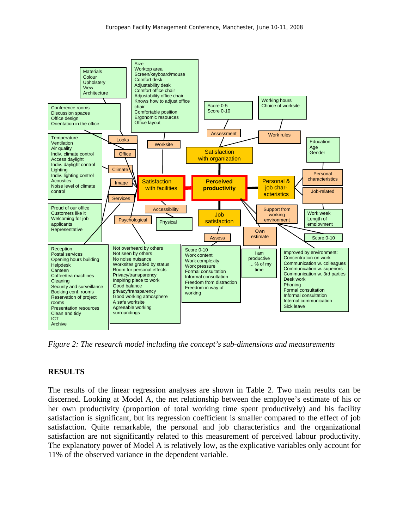

*Figure 2: The research model including the concept's sub-dimensions and measurements* 

#### **RESULTS**

The results of the linear regression analyses are shown in Table 2. Two main results can be discerned. Looking at Model A, the net relationship between the employee's estimate of his or her own productivity (proportion of total working time spent productively) and his facility satisfaction is significant, but its regression coefficient is smaller compared to the effect of job satisfaction. Quite remarkable, the personal and job characteristics and the organizational satisfaction are not significantly related to this measurement of perceived labour productivity. The explanatory power of Model A is relatively low, as the explicative variables only account for 11% of the observed variance in the dependent variable.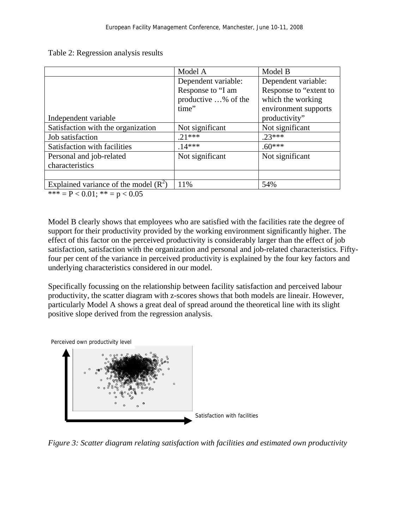Table 2: Regression analysis results

|                                         | Model A             | Model B                |  |  |
|-----------------------------------------|---------------------|------------------------|--|--|
|                                         | Dependent variable: | Dependent variable:    |  |  |
|                                         | Response to "I am   | Response to "extent to |  |  |
|                                         | productive % of the | which the working      |  |  |
|                                         | time"               | environment supports   |  |  |
| Independent variable                    |                     | productivity"          |  |  |
| Satisfaction with the organization      | Not significant     | Not significant        |  |  |
| Job satisfaction                        | $21***$             | $23***$                |  |  |
| Satisfaction with facilities            | $.14***$            | $.60***$               |  |  |
| Personal and job-related                | Not significant     | Not significant        |  |  |
| characteristics                         |                     |                        |  |  |
|                                         |                     |                        |  |  |
| Explained variance of the model $(R^2)$ | 11%                 | 54%                    |  |  |
| $\mathbf{a}$                            |                     |                        |  |  |

\*\*\* =  $P < 0.01$ ; \*\* =  $p < 0.05$ 

Model B clearly shows that employees who are satisfied with the facilities rate the degree of support for their productivity provided by the working environment significantly higher. The effect of this factor on the perceived productivity is considerably larger than the effect of job satisfaction, satisfaction with the organization and personal and job-related characteristics. Fiftyfour per cent of the variance in perceived productivity is explained by the four key factors and underlying characteristics considered in our model.

Specifically focussing on the relationship between facility satisfaction and perceived labour productivity, the scatter diagram with z-scores shows that both models are lineair. However, particularly Model A shows a great deal of spread around the theoretical line with its slight positive slope derived from the regression analysis.



*Figure 3: Scatter diagram relating satisfaction with facilities and estimated own productivity*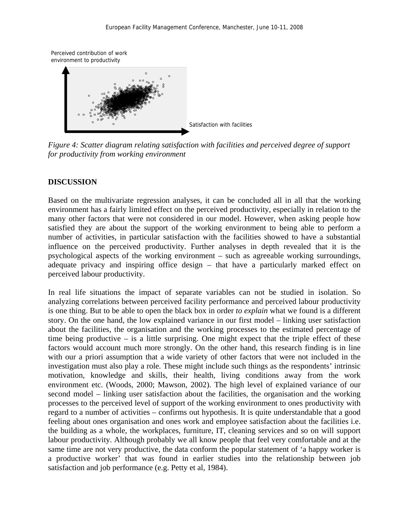

*Figure 4: Scatter diagram relating satisfaction with facilities and perceived degree of support for productivity from working environment* 

#### **DISCUSSION**

Based on the multivariate regression analyses, it can be concluded all in all that the working environment has a fairly limited effect on the perceived productivity, especially in relation to the many other factors that were not considered in our model. However, when asking people how satisfied they are about the support of the working environment to being able to perform a number of activities, in particular satisfaction with the facilities showed to have a substantial influence on the perceived productivity. Further analyses in depth revealed that it is the psychological aspects of the working environment – such as agreeable working surroundings, adequate privacy and inspiring office design – that have a particularly marked effect on perceived labour productivity.

In real life situations the impact of separate variables can not be studied in isolation. So analyzing correlations between perceived facility performance and perceived labour productivity is one thing. But to be able to open the black box in order *to explain* what we found is a different story. On the one hand, the low explained variance in our first model – linking user satisfaction about the facilities, the organisation and the working processes to the estimated percentage of time being productive – is a little surprising. One might expect that the triple effect of these factors would account much more strongly. On the other hand, this research finding is in line with our a priori assumption that a wide variety of other factors that were not included in the investigation must also play a role. These might include such things as the respondents' intrinsic motivation, knowledge and skills, their health, living conditions away from the work environment etc. (Woods, 2000; Mawson, 2002). The high level of explained variance of our second model – linking user satisfaction about the facilities, the organisation and the working processes to the perceived level of support of the working environment to ones productivity with regard to a number of activities – confirms out hypothesis. It is quite understandable that a good feeling about ones organisation and ones work and employee satisfaction about the facilities i.e. the building as a whole, the workplaces, furniture, IT, cleaning services and so on will support labour productivity. Although probably we all know people that feel very comfortable and at the same time are not very productive, the data conform the popular statement of 'a happy worker is a productive worker' that was found in earlier studies into the relationship between job satisfaction and job performance (e.g. Petty et al, 1984).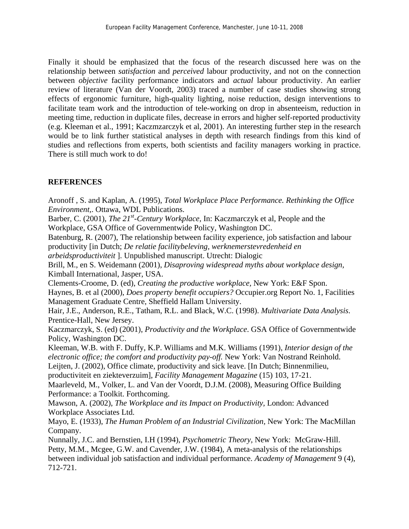Finally it should be emphasized that the focus of the research discussed here was on the relationship between *satisfaction* and *perceived* labour productivity, and not on the connection between *objective* facility performance indicators and *actual* labour productivity. An earlier review of literature (Van der Voordt, 2003) traced a number of case studies showing strong effects of ergonomic furniture, high-quality lighting, noise reduction, design interventions to facilitate team work and the introduction of tele-working on drop in absenteeism, reduction in meeting time, reduction in duplicate files, decrease in errors and higher self-reported productivity (e.g. Kleeman et al., 1991; Kaczmzarczyk et al, 2001). An interesting further step in the research would be to link further statistical analyses in depth with research findings from this kind of studies and reflections from experts, both scientists and facility managers working in practice. There is still much work to do!

# **REFERENCES**

Aronoff , S. and Kaplan, A. (1995), *Total Workplace Place Performance. Rethinking the Office Environment,*. Ottawa, WDL Publications. Barber, C. (2001), *The 21<sup>st</sup>-Century Workplace*, In: Kaczmarczyk et al, People and the Workplace, GSA Office of Governmentwide Policy, Washington DC. Batenburg, R. (2007), The relationship between facility experience, job satisfaction and labour productivity [in Dutch; *De relatie facilitybeleving, werknemerstevredenheid en arbeidsproductiviteit* ]. Unpublished manuscript. Utrecht: Dialogic Brill, M., en S. Weidemann (2001), *Disaproving widespread myths about workplace design,* Kimball International, Jasper, USA. Clements-Croome, D. (ed), *Creating the productive workplace,* New York: E&F Spon. Haynes, B. et al (2000), *Does property benefit occupiers?* Occupier.org Report No. 1, Facilities Management Graduate Centre, Sheffield Hallam University. Hair, J.E., Anderson, R.E., Tatham, R.L. and Black, W.C. (1998). *Multivariate Data Analysis*. Prentice-Hall, New Jersey. Kaczmarczyk, S. (ed) (2001), *Productivity and the Workplace*. GSA Office of Governmentwide Policy, Washington DC. Kleeman, W.B. with F. Duffy, K.P. Williams and M.K. Williams (1991), *Interior design of the electronic office; the comfort and productivity pay-off.* New York: Van Nostrand Reinhold. Leijten, J. (2002), Office climate, productivity and sick leave. [In Dutch; Binnenmilieu, productiviteit en ziekteverzuim], *Facility Management Magazine* (15) 103, 17-21. Maarleveld, M., Volker, L. and Van der Voordt, D.J.M. (2008), Measuring Office Building Performance: a Toolkit. Forthcoming. Mawson, A. (2002), *The Workplace and its Impact on Productivity,* London: Advanced Workplace Associates Ltd. Mayo, E. (1933), *The Human Problem of an Industrial Civilization,* New York: The MacMillan Company. Nunnally, J.C. and Bernstien, I.H (1994), *Psychometric Theory,* New York: McGraw-Hill. Petty, M.M., Mcgee, G.W. and Cavender, J.W. (1984), A meta-analysis of the relationships between individual job satisfaction and individual performance. *Academy of Management* 9 (4),

712-721.